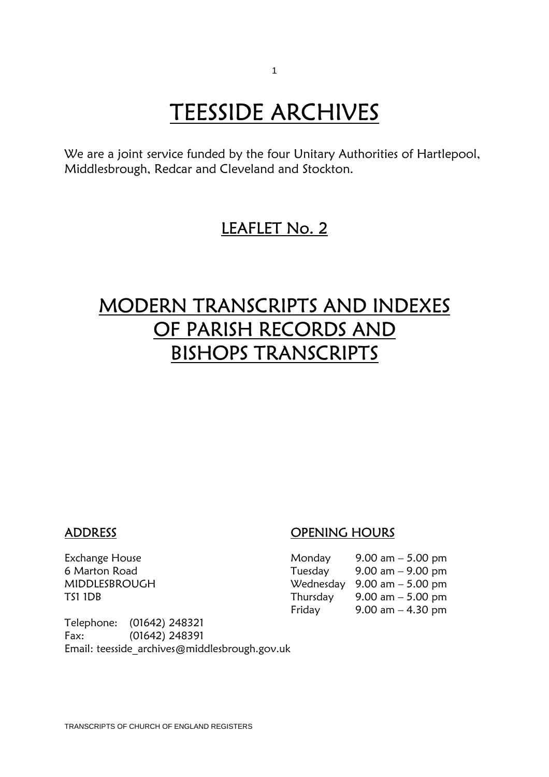# **TEESSIDE ARCHIVES**<br>We are a joint service funded by the four Unitary Authorities of Hartlepool,

Middlesbrough, Redcar and Cleveland and Stockton.

### LEAFLET No. 2

### MODERN TRANSCRIPTS AND INDEXES OF PARISH RECORDS AND BISHOPS TRANSCRIPTS

#### ADDRESS OPENING HOURS

| Exchange House | Monday   | 9.00 am $-$ 5.00 pm                           |
|----------------|----------|-----------------------------------------------|
| 6 Marton Road  | Tuesday  | $9.00 \text{ am} - 9.00 \text{ pm}$           |
| MIDDLESBROUGH  |          | Wednesday $9.00 \text{ am} - 5.00 \text{ pm}$ |
| TS1 1DB        | Thursday | 9.00 am $-$ 5.00 pm                           |
|                | Friday   | $9.00$ am $-4.30$ pm                          |

Telephone: (01642) 248321 Fax: (01642) 248391 Email: teesside\_archives@middlesbrough.gov.uk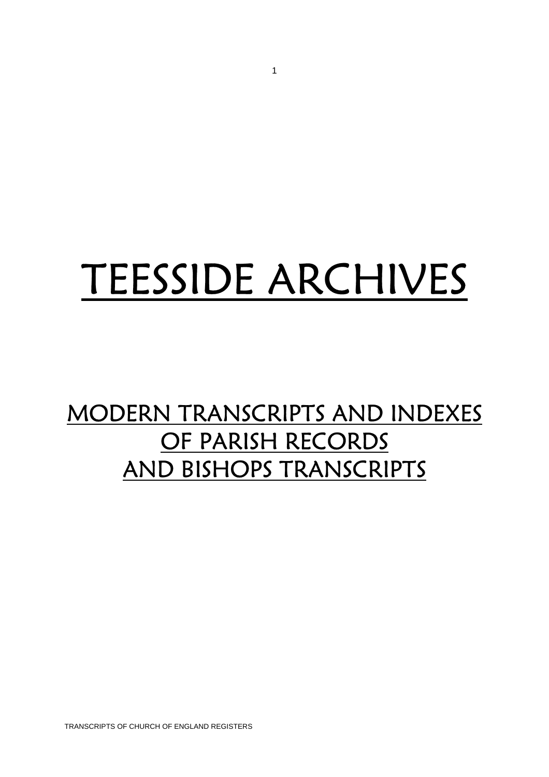# TEESSIDE ARCHIVES

## MODERN TRANSCRIPTS AND INDEXES OF PARISH RECORDS AND BISHOPS TRANSCRIPTS

TRANSCRIPTS OF CHURCH OF ENGLAND REGISTERS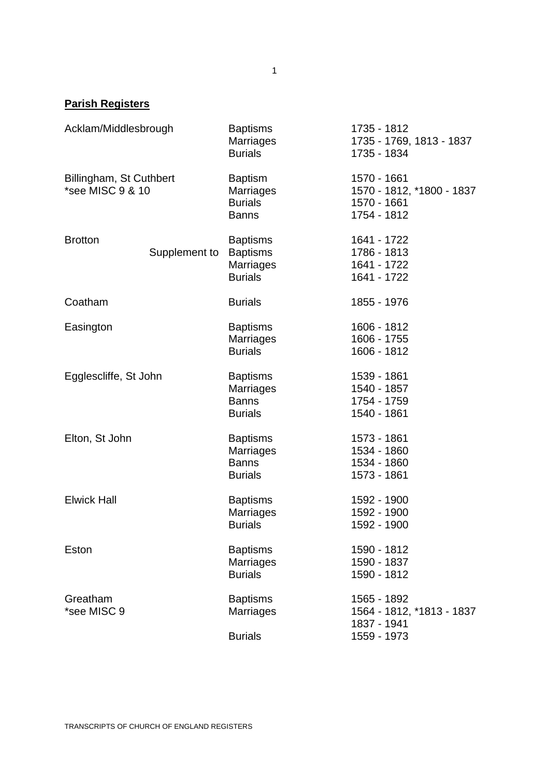#### **Parish Registers**

| Acklam/Middlesbrough                        |               | <b>Baptisms</b><br>Marriages<br><b>Burials</b>                           | 1735 - 1812<br>1735 - 1769, 1813 - 1837<br>1735 - 1834                 |
|---------------------------------------------|---------------|--------------------------------------------------------------------------|------------------------------------------------------------------------|
| Billingham, St Cuthbert<br>*see MISC 9 & 10 |               | <b>Baptism</b><br><b>Marriages</b><br><b>Burials</b><br><b>Banns</b>     | 1570 - 1661<br>1570 - 1812, *1800 - 1837<br>1570 - 1661<br>1754 - 1812 |
| <b>Brotton</b>                              | Supplement to | <b>Baptisms</b><br><b>Baptisms</b><br><b>Marriages</b><br><b>Burials</b> | 1641 - 1722<br>1786 - 1813<br>1641 - 1722<br>1641 - 1722               |
| Coatham                                     |               | <b>Burials</b>                                                           | 1855 - 1976                                                            |
| Easington                                   |               | <b>Baptisms</b><br><b>Marriages</b><br><b>Burials</b>                    | 1606 - 1812<br>1606 - 1755<br>1606 - 1812                              |
| Egglescliffe, St John                       |               | <b>Baptisms</b><br>Marriages<br><b>Banns</b><br><b>Burials</b>           | 1539 - 1861<br>1540 - 1857<br>1754 - 1759<br>1540 - 1861               |
| Elton, St John                              |               | <b>Baptisms</b><br><b>Marriages</b><br><b>Banns</b><br><b>Burials</b>    | 1573 - 1861<br>1534 - 1860<br>1534 - 1860<br>1573 - 1861               |
| <b>Elwick Hall</b>                          |               | <b>Baptisms</b><br>Marriages<br><b>Burials</b>                           | 1592 - 1900<br>1592 - 1900<br>1592 - 1900                              |
| Eston                                       |               | <b>Baptisms</b><br><b>Marriages</b><br><b>Burials</b>                    | 1590 - 1812<br>1590 - 1837<br>1590 - 1812                              |
| Greatham<br>*see MISC 9                     |               | <b>Baptisms</b><br>Marriages<br><b>Burials</b>                           | 1565 - 1892<br>1564 - 1812, *1813 - 1837<br>1837 - 1941<br>1559 - 1973 |
|                                             |               |                                                                          |                                                                        |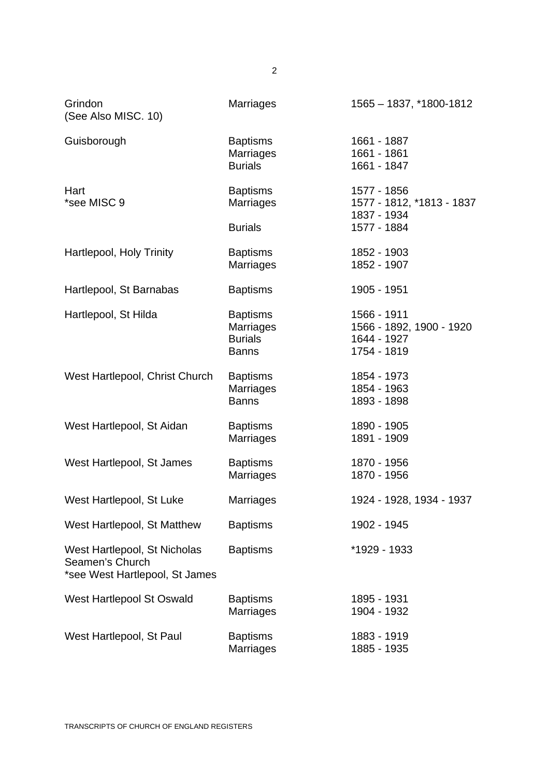| Grindon<br>(See Also MISC. 10)                                                    | <b>Marriages</b>                                                      | 1565 - 1837, *1800-1812                                               |
|-----------------------------------------------------------------------------------|-----------------------------------------------------------------------|-----------------------------------------------------------------------|
| Guisborough                                                                       | <b>Baptisms</b><br><b>Marriages</b><br><b>Burials</b>                 | 1661 - 1887<br>1661 - 1861<br>1661 - 1847                             |
| Hart<br>*see MISC 9                                                               | <b>Baptisms</b><br><b>Marriages</b><br><b>Burials</b>                 | 1577 - 1856<br>1577 - 1812, *1813 - 1837<br>1837 - 1934               |
|                                                                                   |                                                                       | 1577 - 1884                                                           |
| Hartlepool, Holy Trinity                                                          | <b>Baptisms</b><br>Marriages                                          | 1852 - 1903<br>1852 - 1907                                            |
| Hartlepool, St Barnabas                                                           | <b>Baptisms</b>                                                       | 1905 - 1951                                                           |
| Hartlepool, St Hilda                                                              | <b>Baptisms</b><br><b>Marriages</b><br><b>Burials</b><br><b>Banns</b> | 1566 - 1911<br>1566 - 1892, 1900 - 1920<br>1644 - 1927<br>1754 - 1819 |
| West Hartlepool, Christ Church                                                    | <b>Baptisms</b><br>Marriages<br><b>Banns</b>                          | 1854 - 1973<br>1854 - 1963<br>1893 - 1898                             |
| West Hartlepool, St Aidan                                                         | <b>Baptisms</b><br>Marriages                                          | 1890 - 1905<br>1891 - 1909                                            |
| West Hartlepool, St James                                                         | <b>Baptisms</b><br><b>Marriages</b>                                   | 1870 - 1956<br>1870 - 1956                                            |
| West Hartlepool, St Luke                                                          | Marriages                                                             | 1924 - 1928, 1934 - 1937                                              |
| West Hartlepool, St Matthew                                                       | <b>Baptisms</b>                                                       | 1902 - 1945                                                           |
| West Hartlepool, St Nicholas<br>Seamen's Church<br>*see West Hartlepool, St James | <b>Baptisms</b>                                                       | *1929 - 1933                                                          |
| West Hartlepool St Oswald                                                         | <b>Baptisms</b><br><b>Marriages</b>                                   | 1895 - 1931<br>1904 - 1932                                            |
| West Hartlepool, St Paul                                                          | <b>Baptisms</b><br><b>Marriages</b>                                   | 1883 - 1919<br>1885 - 1935                                            |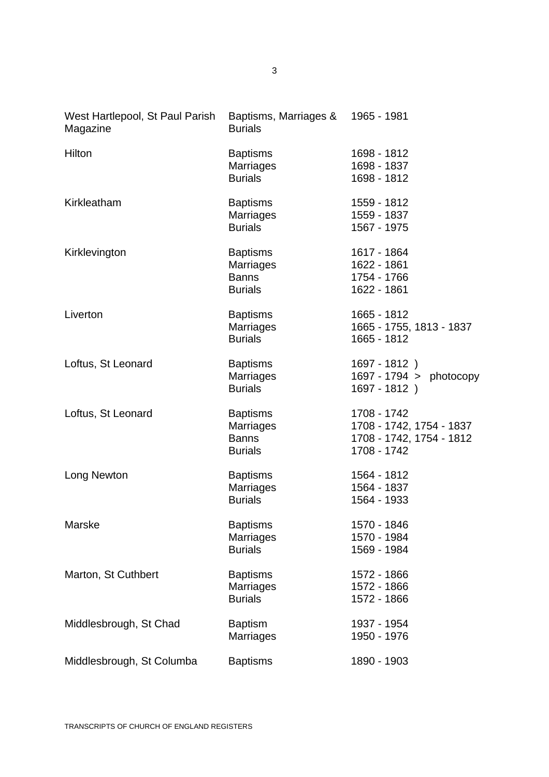| West Hartlepool, St Paul Parish<br>Magazine | Baptisms, Marriages &<br><b>Burials</b>                               | 1965 - 1981                                                                        |
|---------------------------------------------|-----------------------------------------------------------------------|------------------------------------------------------------------------------------|
| Hilton                                      | <b>Baptisms</b><br>Marriages<br><b>Burials</b>                        | 1698 - 1812<br>1698 - 1837<br>1698 - 1812                                          |
| Kirkleatham                                 | <b>Baptisms</b><br><b>Marriages</b><br><b>Burials</b>                 | 1559 - 1812<br>1559 - 1837<br>1567 - 1975                                          |
| Kirklevington                               | <b>Baptisms</b><br>Marriages<br><b>Banns</b><br><b>Burials</b>        | 1617 - 1864<br>1622 - 1861<br>1754 - 1766<br>1622 - 1861                           |
| Liverton                                    | <b>Baptisms</b><br><b>Marriages</b><br><b>Burials</b>                 | 1665 - 1812<br>1665 - 1755, 1813 - 1837<br>1665 - 1812                             |
| Loftus, St Leonard                          | <b>Baptisms</b><br><b>Marriages</b><br><b>Burials</b>                 | 1697 - 1812 )<br>1697 - 1794 > photocopy<br>1697 - 1812)                           |
| Loftus, St Leonard                          | <b>Baptisms</b><br><b>Marriages</b><br><b>Banns</b><br><b>Burials</b> | 1708 - 1742<br>1708 - 1742, 1754 - 1837<br>1708 - 1742, 1754 - 1812<br>1708 - 1742 |
| Long Newton                                 | <b>Baptisms</b><br><b>Marriages</b><br><b>Burials</b>                 | 1564 - 1812<br>1564 - 1837<br>1564 - 1933                                          |
| Marske                                      | <b>Baptisms</b><br>Marriages<br><b>Burials</b>                        | 1570 - 1846<br>1570 - 1984<br>1569 - 1984                                          |
| Marton, St Cuthbert                         | <b>Baptisms</b><br>Marriages<br><b>Burials</b>                        | 1572 - 1866<br>1572 - 1866<br>1572 - 1866                                          |
| Middlesbrough, St Chad                      | <b>Baptism</b><br><b>Marriages</b>                                    | 1937 - 1954<br>1950 - 1976                                                         |
| Middlesbrough, St Columba                   | <b>Baptisms</b>                                                       | 1890 - 1903                                                                        |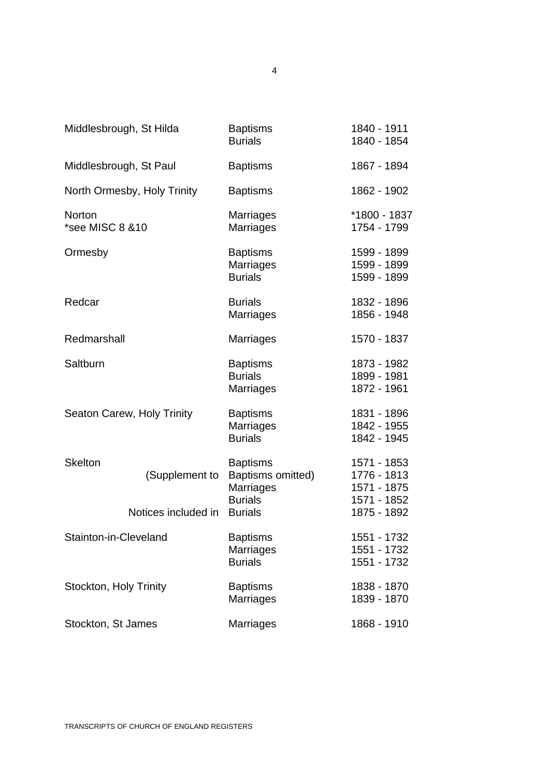| Middlesbrough, St Hilda           |                                       | <b>Baptisms</b><br><b>Burials</b>                                                     | 1840 - 1911<br>1840 - 1854                                              |
|-----------------------------------|---------------------------------------|---------------------------------------------------------------------------------------|-------------------------------------------------------------------------|
| Middlesbrough, St Paul            |                                       | <b>Baptisms</b>                                                                       | 1867 - 1894                                                             |
| North Ormesby, Holy Trinity       |                                       | <b>Baptisms</b>                                                                       | 1862 - 1902                                                             |
| <b>Norton</b><br>*see MISC 8 & 10 |                                       | <b>Marriages</b><br><b>Marriages</b>                                                  | *1800 - 1837<br>1754 - 1799                                             |
| Ormesby                           |                                       | <b>Baptisms</b><br><b>Marriages</b><br><b>Burials</b>                                 | 1599 - 1899<br>1599 - 1899<br>1599 - 1899                               |
| Redcar                            |                                       | <b>Burials</b><br>Marriages                                                           | 1832 - 1896<br>1856 - 1948                                              |
| Redmarshall                       |                                       | <b>Marriages</b>                                                                      | 1570 - 1837                                                             |
| Saltburn                          |                                       | <b>Baptisms</b><br><b>Burials</b><br>Marriages                                        | 1873 - 1982<br>1899 - 1981<br>1872 - 1961                               |
| Seaton Carew, Holy Trinity        |                                       | <b>Baptisms</b><br><b>Marriages</b><br><b>Burials</b>                                 | 1831 - 1896<br>1842 - 1955<br>1842 - 1945                               |
| <b>Skelton</b>                    | (Supplement to<br>Notices included in | <b>Baptisms</b><br>Baptisms omitted)<br>Marriages<br><b>Burials</b><br><b>Burials</b> | 1571 - 1853<br>1776 - 1813<br>1571 - 1875<br>1571 - 1852<br>1875 - 1892 |
| Stainton-in-Cleveland             |                                       | <b>Baptisms</b><br><b>Marriages</b><br><b>Burials</b>                                 | 1551 - 1732<br>1551 - 1732<br>1551 - 1732                               |
| Stockton, Holy Trinity            |                                       | <b>Baptisms</b><br>Marriages                                                          | 1838 - 1870<br>1839 - 1870                                              |
| Stockton, St James                |                                       | Marriages                                                                             | 1868 - 1910                                                             |

4